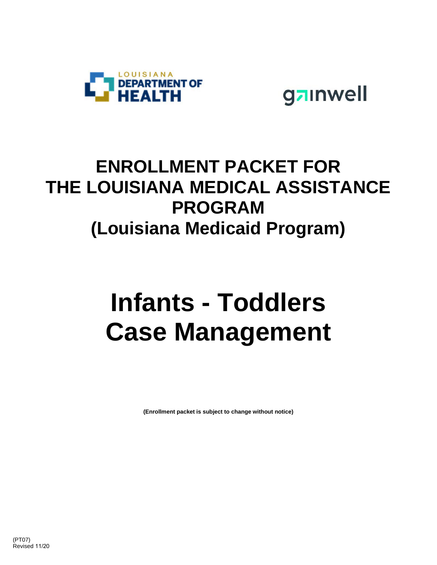

gainwell

## **ENROLLMENT PACKET FOR THE LOUISIANA MEDICAL ASSISTANCE PROGRAM (Louisiana Medicaid Program)**

# **Infants - Toddlers Case Management**

**(Enrollment packet is subject to change without notice)**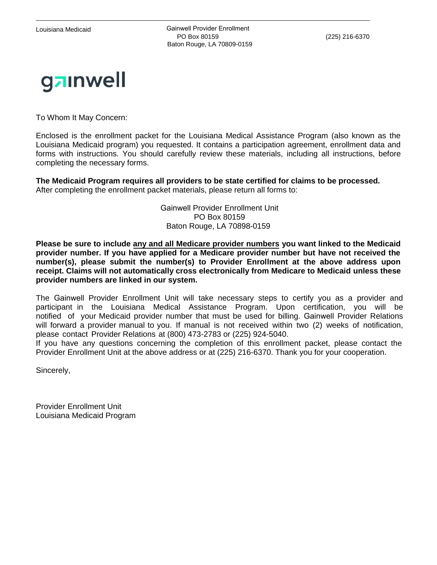Louisiana Medicaid **Cannell Provider Enrollment**  PO Box 80159 (225) 216-6370 Baton Rouge, LA 70809-0159



To Whom It May Concern:

Enclosed is the enrollment packet for the Louisiana Medical Assistance Program (also known as the Louisiana Medicaid program) you requested. It contains a participation agreement, enrollment data and forms with instructions. You should carefully review these materials, including all instructions, before completing the necessary forms.

**The Medicaid Program requires all providers to be state certified for claims to be processed.**  After completing the enrollment packet materials, please return all forms to:

> Gainwell Provider Enrollment Unit PO Box 80159 Baton Rouge, LA 70898-0159

**Please be sure to include any and all Medicare provider numbers you want linked to the Medicaid provider number. If you have applied for a Medicare provider number but have not received the number(s), please submit the number(s) to Provider Enrollment at the above address upon receipt. Claims will not automatically cross electronically from Medicare to Medicaid unless these provider numbers are linked in our system.** 

The Gainwell Provider Enrollment Unit will take necessary steps to certify you as a provider and participant in the Louisiana Medical Assistance Program. Upon certification, you will be notified of your Medicaid provider number that must be used for billing. Gainwell Provider Relations will forward a provider manual to you. If manual is not received within two (2) weeks of notification, please contact Provider Relations at (800) 473-2783 or (225) 924-5040.

If you have any questions concerning the completion of this enrollment packet, please contact the Provider Enrollment Unit at the above address or at (225) 216-6370. Thank you for your cooperation.

Sincerely,

Provider Enrollment Unit Louisiana Medicaid Program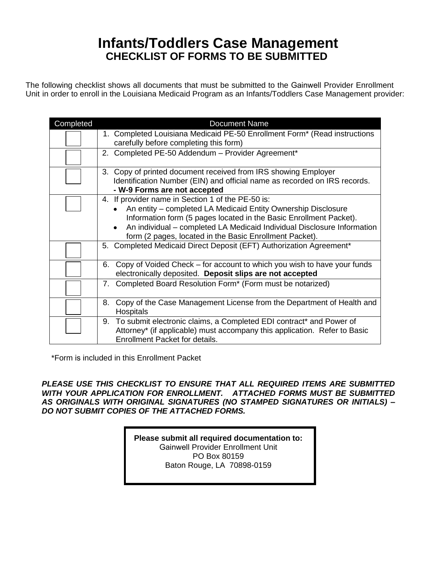#### **Infants/Toddlers Case Management CHECKLIST OF FORMS TO BE SUBMITTED**

The following checklist shows all documents that must be submitted to the Gainwell Provider Enrollment Unit in order to enroll in the Louisiana Medicaid Program as an Infants/Toddlers Case Management provider:

| Completed | <b>Document Name</b>                                                                                                                                                                                                                                                                                                                        |
|-----------|---------------------------------------------------------------------------------------------------------------------------------------------------------------------------------------------------------------------------------------------------------------------------------------------------------------------------------------------|
|           | 1. Completed Louisiana Medicaid PE-50 Enrollment Form* (Read instructions<br>carefully before completing this form)                                                                                                                                                                                                                         |
|           | 2. Completed PE-50 Addendum - Provider Agreement*                                                                                                                                                                                                                                                                                           |
|           | Copy of printed document received from IRS showing Employer<br>3.<br>Identification Number (EIN) and official name as recorded on IRS records.<br>- W-9 Forms are not accepted                                                                                                                                                              |
|           | 4. If provider name in Section 1 of the PE-50 is:<br>An entity – completed LA Medicaid Entity Ownership Disclosure<br>Information form (5 pages located in the Basic Enrollment Packet).<br>An individual - completed LA Medicaid Individual Disclosure Information<br>$\bullet$<br>form (2 pages, located in the Basic Enrollment Packet). |
|           | 5. Completed Medicaid Direct Deposit (EFT) Authorization Agreement*                                                                                                                                                                                                                                                                         |
|           | Copy of Voided Check – for account to which you wish to have your funds<br>6.<br>electronically deposited. Deposit slips are not accepted                                                                                                                                                                                                   |
|           | Completed Board Resolution Form* (Form must be notarized)<br>$7_{\cdot}$                                                                                                                                                                                                                                                                    |
|           | Copy of the Case Management License from the Department of Health and<br>8.<br><b>Hospitals</b>                                                                                                                                                                                                                                             |
|           | To submit electronic claims, a Completed EDI contract* and Power of<br>9.<br>Attorney* (if applicable) must accompany this application. Refer to Basic<br>Enrollment Packet for details.                                                                                                                                                    |

\*Form is included in this Enrollment Packet

*PLEASE USE THIS CHECKLIST TO ENSURE THAT ALL REQUIRED ITEMS ARE SUBMITTED WITH YOUR APPLICATION FOR ENROLLMENT. ATTACHED FORMS MUST BE SUBMITTED AS ORIGINALS WITH ORIGINAL SIGNATURES (NO STAMPED SIGNATURES OR INITIALS) – DO NOT SUBMIT COPIES OF THE ATTACHED FORMS.* 

> **Please submit all required documentation to:**  Gainwell Provider Enrollment Unit PO Box 80159 Baton Rouge, LA 70898-0159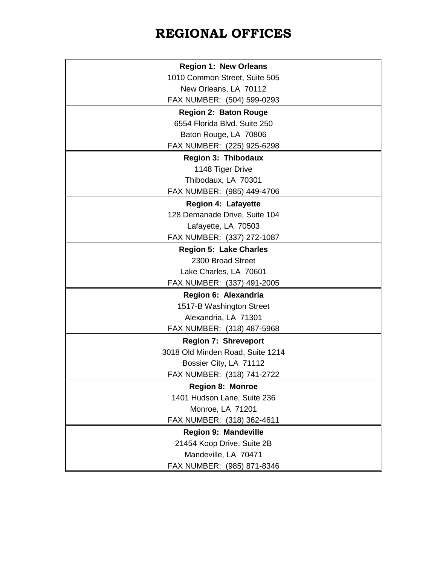### **REGIONAL OFFICES**

 $\mathbf{r}$ 

| <b>Region 1: New Orleans</b>     |  |  |  |
|----------------------------------|--|--|--|
| 1010 Common Street, Suite 505    |  |  |  |
| New Orleans, LA 70112            |  |  |  |
| FAX NUMBER: (504) 599-0293       |  |  |  |
| <b>Region 2: Baton Rouge</b>     |  |  |  |
| 6554 Florida Blvd. Suite 250     |  |  |  |
| Baton Rouge, LA 70806            |  |  |  |
| FAX NUMBER: (225) 925-6298       |  |  |  |
| Region 3: Thibodaux              |  |  |  |
| 1148 Tiger Drive                 |  |  |  |
| Thibodaux, LA 70301              |  |  |  |
| FAX NUMBER: (985) 449-4706       |  |  |  |
| <b>Region 4: Lafayette</b>       |  |  |  |
| 128 Demanade Drive, Suite 104    |  |  |  |
| Lafayette, LA 70503              |  |  |  |
| FAX NUMBER: (337) 272-1087       |  |  |  |
| <b>Region 5: Lake Charles</b>    |  |  |  |
| 2300 Broad Street                |  |  |  |
| Lake Charles, LA 70601           |  |  |  |
| FAX NUMBER: (337) 491-2005       |  |  |  |
| Region 6: Alexandria             |  |  |  |
| 1517-B Washington Street         |  |  |  |
| Alexandria, LA 71301             |  |  |  |
| FAX NUMBER: (318) 487-5968       |  |  |  |
| <b>Region 7: Shreveport</b>      |  |  |  |
| 3018 Old Minden Road, Suite 1214 |  |  |  |
| Bossier City, LA 71112           |  |  |  |
| FAX NUMBER: (318) 741-2722       |  |  |  |
| <b>Region 8: Monroe</b>          |  |  |  |
| 1401 Hudson Lane, Suite 236      |  |  |  |
| Monroe, LA 71201                 |  |  |  |
| FAX NUMBER: (318) 362-4611       |  |  |  |
| <b>Region 9: Mandeville</b>      |  |  |  |
| 21454 Koop Drive, Suite 2B       |  |  |  |
| Mandeville, LA 70471             |  |  |  |
| FAX NUMBER: (985) 871-8346       |  |  |  |